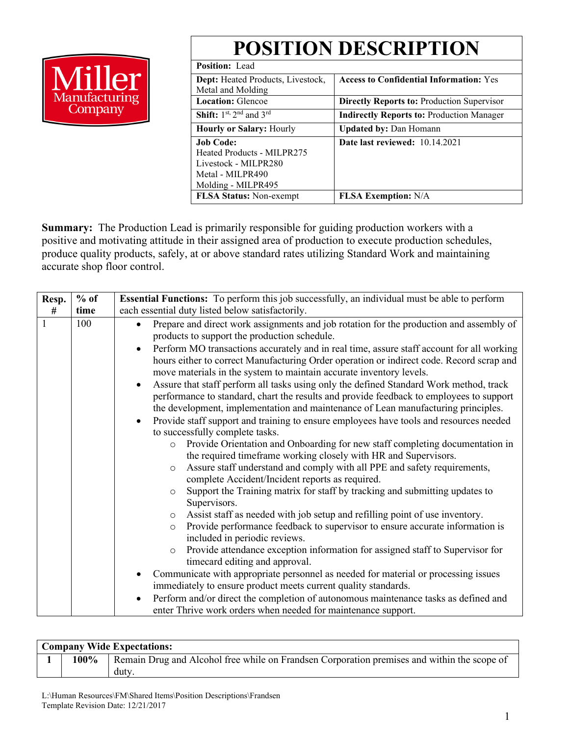# **POSITION DESCRIPTION**



| I ODITION DEDUMIT ITON                         |                                                   |  |  |  |  |
|------------------------------------------------|---------------------------------------------------|--|--|--|--|
| <b>Position:</b> Lead                          |                                                   |  |  |  |  |
| <b>Dept:</b> Heated Products, Livestock,       | <b>Access to Confidential Information:</b> Yes    |  |  |  |  |
| Metal and Molding                              |                                                   |  |  |  |  |
| <b>Location: Glencoe</b>                       | <b>Directly Reports to: Production Supervisor</b> |  |  |  |  |
| <b>Shift:</b> $1^{st}$ , $2^{nd}$ and $3^{rd}$ | <b>Indirectly Reports to: Production Manager</b>  |  |  |  |  |
| <b>Hourly or Salary: Hourly</b>                | <b>Updated by: Dan Homann</b>                     |  |  |  |  |
| <b>Job Code:</b>                               | <b>Date last reviewed:</b> 10.14.2021             |  |  |  |  |
| Heated Products - MILPR275                     |                                                   |  |  |  |  |
| Livestock - MILPR280                           |                                                   |  |  |  |  |
| Metal - MILPR490                               |                                                   |  |  |  |  |
| Molding - MILPR495                             |                                                   |  |  |  |  |
| <b>FLSA Status:</b> Non-exempt                 | <b>FLSA Exemption:</b> N/A                        |  |  |  |  |

**Summary:** The Production Lead is primarily responsible for guiding production workers with a positive and motivating attitude in their assigned area of production to execute production schedules, produce quality products, safely, at or above standard rates utilizing Standard Work and maintaining accurate shop floor control.

| Resp.        | $%$ of | Essential Functions: To perform this job successfully, an individual must be able to perform                                                                                                                                                                                        |  |  |  |  |  |  |  |
|--------------|--------|-------------------------------------------------------------------------------------------------------------------------------------------------------------------------------------------------------------------------------------------------------------------------------------|--|--|--|--|--|--|--|
| #            | time   | each essential duty listed below satisfactorily.                                                                                                                                                                                                                                    |  |  |  |  |  |  |  |
| $\mathbf{1}$ | 100    | Prepare and direct work assignments and job rotation for the production and assembly of<br>$\bullet$<br>products to support the production schedule.<br>Perform MO transactions accurately and in real time, assure staff account for all working<br>$\bullet$                      |  |  |  |  |  |  |  |
|              |        | hours either to correct Manufacturing Order operation or indirect code. Record scrap and<br>move materials in the system to maintain accurate inventory levels.                                                                                                                     |  |  |  |  |  |  |  |
|              |        | Assure that staff perform all tasks using only the defined Standard Work method, track<br>$\bullet$<br>performance to standard, chart the results and provide feedback to employees to support<br>the development, implementation and maintenance of Lean manufacturing principles. |  |  |  |  |  |  |  |
|              |        | Provide staff support and training to ensure employees have tools and resources needed<br>$\bullet$                                                                                                                                                                                 |  |  |  |  |  |  |  |
|              |        | to successfully complete tasks.                                                                                                                                                                                                                                                     |  |  |  |  |  |  |  |
|              |        | Provide Orientation and Onboarding for new staff completing documentation in<br>$\circ$                                                                                                                                                                                             |  |  |  |  |  |  |  |
|              |        | the required timeframe working closely with HR and Supervisors.                                                                                                                                                                                                                     |  |  |  |  |  |  |  |
|              |        | Assure staff understand and comply with all PPE and safety requirements,<br>$\circ$<br>complete Accident/Incident reports as required.                                                                                                                                              |  |  |  |  |  |  |  |
|              |        | Support the Training matrix for staff by tracking and submitting updates to<br>$\circ$<br>Supervisors.                                                                                                                                                                              |  |  |  |  |  |  |  |
|              |        | Assist staff as needed with job setup and refilling point of use inventory.<br>$\circ$                                                                                                                                                                                              |  |  |  |  |  |  |  |
|              |        | Provide performance feedback to supervisor to ensure accurate information is<br>$\circ$<br>included in periodic reviews.                                                                                                                                                            |  |  |  |  |  |  |  |
|              |        | Provide attendance exception information for assigned staff to Supervisor for<br>$\circ$<br>timecard editing and approval.                                                                                                                                                          |  |  |  |  |  |  |  |
|              |        | Communicate with appropriate personnel as needed for material or processing issues<br>$\bullet$                                                                                                                                                                                     |  |  |  |  |  |  |  |
|              |        | immediately to ensure product meets current quality standards.                                                                                                                                                                                                                      |  |  |  |  |  |  |  |
|              |        | Perform and/or direct the completion of autonomous maintenance tasks as defined and<br>$\bullet$                                                                                                                                                                                    |  |  |  |  |  |  |  |
|              |        | enter Thrive work orders when needed for maintenance support.                                                                                                                                                                                                                       |  |  |  |  |  |  |  |

| <b>Company Wide Expectations:</b> |      |                                                                                                      |  |  |  |  |
|-----------------------------------|------|------------------------------------------------------------------------------------------------------|--|--|--|--|
|                                   | 100% | Remain Drug and Alcohol free while on Frandsen Corporation premises and within the scope of<br>duty. |  |  |  |  |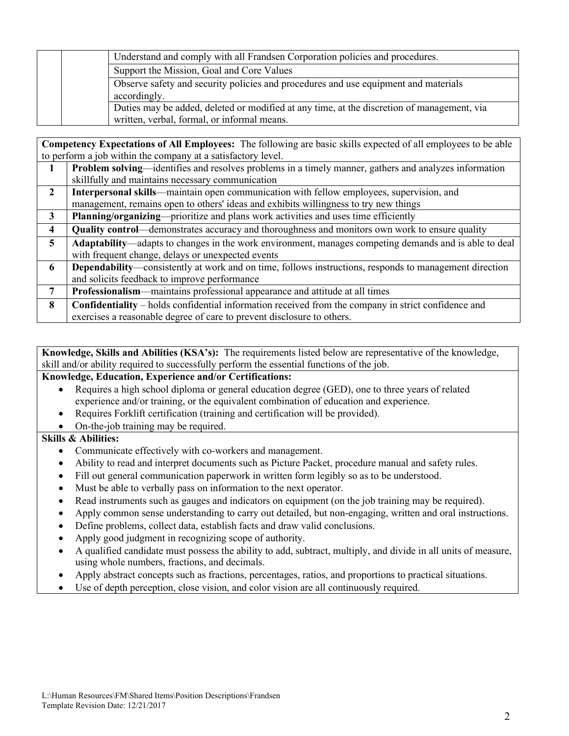|  | Understand and comply with all Frandsen Corporation policies and procedures.               |
|--|--------------------------------------------------------------------------------------------|
|  | Support the Mission, Goal and Core Values                                                  |
|  | Observe safety and security policies and procedures and use equipment and materials        |
|  | accordingly.                                                                               |
|  | Duties may be added, deleted or modified at any time, at the discretion of management, via |
|  | written, verbal, formal, or informal means.                                                |

**Competency Expectations of All Employees:** The following are basic skills expected of all employees to be able to perform a job within the company at a satisfactory level.

|              | <b>Problem solving—identifies and resolves problems in a timely manner, gathers and analyzes information</b>  |
|--------------|---------------------------------------------------------------------------------------------------------------|
|              | skillfully and maintains necessary communication                                                              |
| $\mathbf{2}$ | Interpersonal skills—maintain open communication with fellow employees, supervision, and                      |
|              | management, remains open to others' ideas and exhibits willingness to try new things                          |
| 3            | Planning/organizing—prioritize and plans work activities and uses time efficiently                            |
| 4            | Quality control—demonstrates accuracy and thoroughness and monitors own work to ensure quality                |
| 5            | Adaptability—adapts to changes in the work environment, manages competing demands and is able to deal         |
|              | with frequent change, delays or unexpected events                                                             |
| 6            | <b>Dependability—consistently at work and on time, follows instructions, responds to management direction</b> |
|              | and solicits feedback to improve performance                                                                  |
| 7            | Professionalism—maintains professional appearance and attitude at all times                                   |
| 8            | <b>Confidentiality</b> – holds confidential information received from the company in strict confidence and    |
|              | exercises a reasonable degree of care to prevent disclosure to others.                                        |

**Knowledge, Skills and Abilities (KSA's):** The requirements listed below are representative of the knowledge, skill and/or ability required to successfully perform the essential functions of the job.

### **Knowledge, Education, Experience and/or Certifications:**

- Requires a high school diploma or general education degree (GED), one to three years of related experience and/or training, or the equivalent combination of education and experience.
- Requires Forklift certification (training and certification will be provided).
- On-the-job training may be required.

**Skills & Abilities:**

- Communicate effectively with co-workers and management.
- Ability to read and interpret documents such as Picture Packet, procedure manual and safety rules.
- Fill out general communication paperwork in written form legibly so as to be understood.
- Must be able to verbally pass on information to the next operator.
- Read instruments such as gauges and indicators on equipment (on the job training may be required).
- Apply common sense understanding to carry out detailed, but non-engaging, written and oral instructions.
- Define problems, collect data, establish facts and draw valid conclusions.
- Apply good judgment in recognizing scope of authority.
- A qualified candidate must possess the ability to add, subtract, multiply, and divide in all units of measure, using whole numbers, fractions, and decimals.
- Apply abstract concepts such as fractions, percentages, ratios, and proportions to practical situations.
- Use of depth perception, close vision, and color vision are all continuously required.